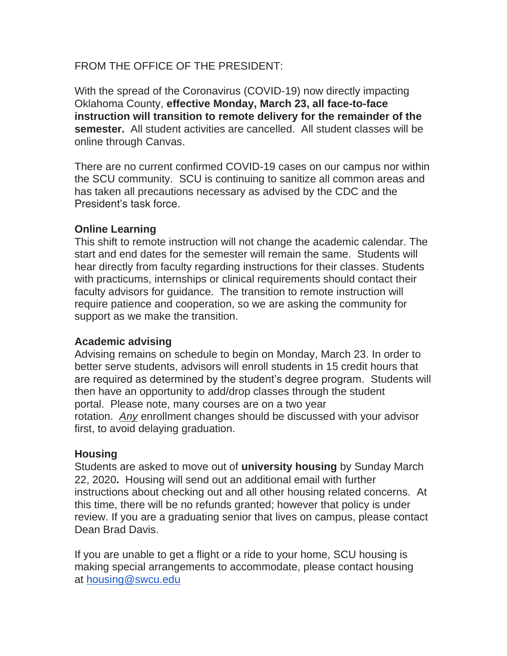## FROM THE OFFICE OF THE PRESIDENT:

With the spread of the Coronavirus (COVID-19) now directly impacting Oklahoma County, **effective Monday, March 23, all face-to-face instruction will transition to remote delivery for the remainder of the semester.** All student activities are cancelled. All student classes will be online through Canvas.

There are no current confirmed COVID-19 cases on our campus nor within the SCU community. SCU is continuing to sanitize all common areas and has taken all precautions necessary as advised by the CDC and the President's task force.

# **Online Learning**

This shift to remote instruction will not change the academic calendar. The start and end dates for the semester will remain the same. Students will hear directly from faculty regarding instructions for their classes. Students with practicums, internships or clinical requirements should contact their faculty advisors for guidance. The transition to remote instruction will require patience and cooperation, so we are asking the community for support as we make the transition.

#### **Academic advising**

Advising remains on schedule to begin on Monday, March 23. In order to better serve students, advisors will enroll students in 15 credit hours that are required as determined by the student's degree program. Students will then have an opportunity to add/drop classes through the student portal. Please note, many courses are on a two year rotation. *Any* enrollment changes should be discussed with your advisor first, to avoid delaying graduation.

# **Housing**

Students are asked to move out of **university housing** by Sunday March 22, 2020**.** Housing will send out an additional email with further instructions about checking out and all other housing related concerns. At this time, there will be no refunds granted; however that policy is under review. If you are a graduating senior that lives on campus, please contact Dean Brad Davis.

If you are unable to get a flight or a ride to your home, SCU housing is making special arrangements to accommodate, please contact housing at [housing@swcu.edu](mailto:housing@swcu.edu)